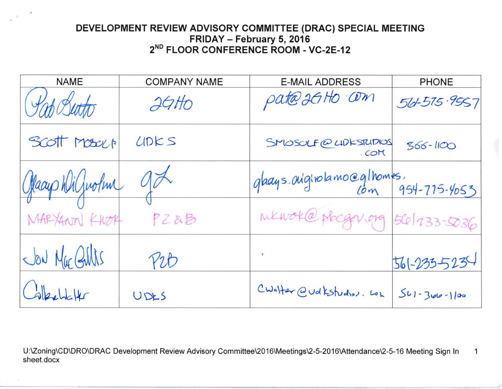## **DEVELOPMENT REVIEW ADVISORY COMMITTEE (DRAC) SPECIAL MEETING FRIDAY - February 5, 2016 2ND FLOOR CONFERENCE ROOM - VC-2E-12**

| <b>NAME</b>     | <b>COMPANY NAME</b> | <b>E-MAIL ADDRESS</b>                     | <b>PHONE</b>       |
|-----------------|---------------------|-------------------------------------------|--------------------|
| Inh Butto       | 26H                 | pate 2GHO COM                             | 56-515.9557        |
| Scott Moselt    | LIDES               | SMOSOLF@LIDKSTUDIOS<br>. COM              | $366 - 1100$       |
| Glacup Wilfrolm | 10 <sup>2</sup>     | glacys.originalamo@glhomes.<br>$\omega$ m | 954-775-4053       |
| MARYANN KWOK    | PZ&B                | MKWOK@ plocgov.org                        | $561233 - 5036$    |
| Jon Mac Gillis  | Yib                 | $\overline{r}$                            | 561-235-5234       |
| $G$ behalt      | UDES                | CWalter @udkstudios. Loh                  | $541 - 340 - 1100$ |

U:\Zoning\CD\DRO\DRAC Development Review Advisory Committee\2016\Meetings\2-5-2016\Attendance\2-5-16 Meeting Sign In 1 sheet.docx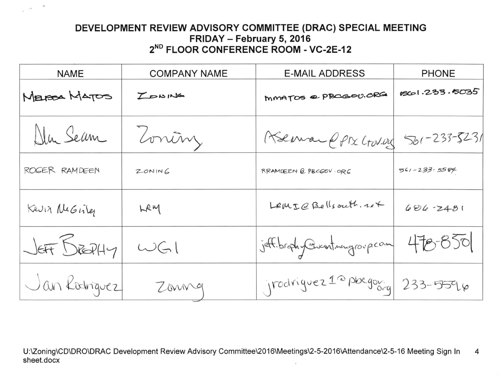## **DEVELOPMENT REVIEW ADVISORY COMMITTEE (DRAC) SPECIAL MEETING FRIDAY - February 5, 2016 2ND FLOOR CONFERENCE ROOM - VC-2E-12**

 $\overline{\phantom{a}}$ 

 $-40 - 10$ 

| <b>NAME</b>    | <b>COMPANY NAME</b> | <b>E-MAIL ADDRESS</b>                     | <b>PHONE</b>       |
|----------------|---------------------|-------------------------------------------|--------------------|
| MELESA MATOS   | LONING              | MMATOS @ PBCGOU.ORG                       | 1233.5035          |
| Dlu Sean       | Zoninz              | Aseman PPTX CTOV.025                      | $561 - 233 - 5231$ |
| ROGER RAMDEEN  | ZONING              | RRAMDEEN @ PBCGOV.ORG                     | $561 - 233 - 5584$ |
| Kevin NeGisler | LRM                 | LewLQBe(Isouth.izf)                       | $606 - 2481$       |
| JEFF BEDHY     | WGM                 | jeff.brophy@usutnangroup.com              | 478.850            |
| Jan Lodnguez   | Zonng               | jrodriguez <sup>12</sup> pbegov. 233-5596 |                    |

U:\Zoning\CD\DRO\DRAC Development Review Advisory Committee\2016\Meetings\2-5-2016\Attendance\2-5-16 Meeting Sign In 4 sheet.docx